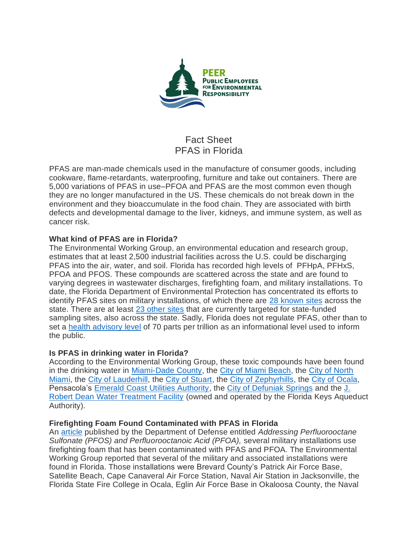

# Fact Sheet PFAS in Florida

PFAS are man-made chemicals used in the manufacture of consumer goods, including cookware, flame-retardants, waterproofing, furniture and take out containers. There are 5,000 variations of PFAS in use–PFOA and PFAS are the most common even though they are no longer manufactured in the US. These chemicals do not break down in the environment and they bioaccumulate in the food chain. They are associated with birth defects and developmental damage to the liver, kidneys, and immune system, as well as cancer risk.

# **What kind of PFAS are in Florida?**

The Environmental Working Group, an environmental education and research group, estimates that at least 2,500 industrial facilities across the U.S. could be discharging PFAS into the air, water, and soil. Florida has recorded high levels of PFHpA, PFHxS, PFOA and PFOS. These compounds are scattered across the state and are found to varying degrees in wastewater discharges, firefighting foam, and military installations. To date, the Florida Department of Environmental Protection has concentrated its efforts to identify PFAS sites on military installations, of which there are [28 known sites](https://floridadep.gov/waste/waste-cleanup/content/pfas-investigation-federal-facilities) across the state. There are at least [23 other sites](https://floridadep.gov/waste/waste-cleanup/content/waste-site-cleanup-state-funded-pfoa-and-pfos-sampling-efforts) that are currently targeted for state-funded sampling sites, also across the state. Sadly, Florida does not regulate PFAS, other than to set a [health advisory level](https://www.floridabar.org/the-florida-bar-journal/pfapocalypse-now-the-pfas-firestorm-and-implications-for-florida/) of 70 parts per trillion as an informational level used to inform the public.

# **Is PFAS in drinking water in Florida?**

According to the Environmental Working Group, these toxic compounds have been found in the drinking water in [Miami-Dade County,](https://www.ewg.org/tapwater/system.php?pws=FL4130871) the [City of Miami Beach,](https://www.ewg.org/tapwater/system.php?pws=FL4130901) the [City of North](https://www.ewg.org/tapwater/system.php?pws=FL4130977)  [Miami,](https://www.ewg.org/tapwater/system.php?pws=FL4130977) the [City of Lauderhill,](https://www.ewg.org/tapwater/system.php?pws=FL4060787) the [City of Stuart,](https://www.ewg.org/tapwater/system.php?pws=FL4430259) the [City of Zephyrhills,](https://www.ewg.org/tapwater/system.php?pws=FL6512020) the [City of Ocala,](https://www.ewg.org/tapwater/system.php?pws=FL3420922) Pensacola's [Emerald Coast Utilities Authority,](https://www.ewg.org/tapwater/system.php?pws=FL1170525) the [City of Defuniak Springs](https://www.ewg.org/tapwater/system.php?pws=FL1660196) and the [J.](https://www.ewg.org/tapwater/system.php?pws=FL4134357)  [Robert Dean Water Treatment Facility](https://www.ewg.org/tapwater/system.php?pws=FL4134357) (owned and operated by the Florida Keys Aqueduct Authority).

# **Firefighting Foam Found Contaminated with PFAS in Florida**

An [article](https://partner-mco-archive.s3.amazonaws.com/client_files/1524589484.pdf?_ga=2.210894999.348371426.1555510309-1338310564.1548261642) published by the Department of Defense entitled *Addressing Perfluorooctane Sulfonate (PFOS) and Perfluorooctanoic Acid (PFOA),* several military installations use firefighting foam that has been contaminated with PFAS and PFOA. The Environmental Working Group reported that several of the military and associated installations were found in Florida. Those installations were Brevard County's Patrick Air Force Base, Satellite Beach, Cape Canaveral Air Force Station, Naval Air Station in Jacksonville, the Florida State Fire College in Ocala, Eglin Air Force Base in Okaloosa County, the Naval